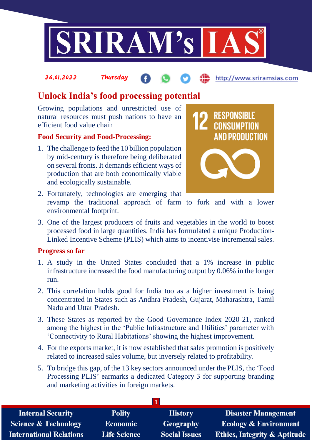

#### 26.01.2022 Thursday http://www.sriramsias.com

# **Unlock India's food processing potential**

Growing populations and unrestricted use of natural resources must push nations to have an efficient food value chain

# **Food Security and Food-Processing:**

1. The challenge to feed the 10 billion population by mid-century is therefore being deliberated on several fronts. It demands efficient ways of production that are both economically viable and ecologically sustainable.



- 2. Fortunately, technologies are emerging that revamp the traditional approach of farm to fork and with a lower environmental footprint.
- 3. One of the largest producers of fruits and vegetables in the world to boost processed food in large quantities, India has formulated a unique Production-Linked Incentive Scheme (PLIS) which aims to incentivise incremental sales.

#### **Progress so far**

- 1. A study in the United States concluded that a 1% increase in public infrastructure increased the food manufacturing output by 0.06% in the longer run.
- 2. This correlation holds good for India too as a higher investment is being concentrated in States such as Andhra Pradesh, Gujarat, Maharashtra, Tamil Nadu and Uttar Pradesh.
- 3. These States as reported by the Good Governance Index 2020-21, ranked among the highest in the 'Public Infrastructure and Utilities' parameter with 'Connectivity to Rural Habitations' showing the highest improvement.
- 4. For the exports market, it is now established that sales promotion is positively related to increased sales volume, but inversely related to profitability.
- 5. To bridge this gap, of the 13 key sectors announced under the PLIS, the 'Food Processing PLIS' earmarks a dedicated Category 3 for supporting branding and marketing activities in foreign markets.

| <b>Internal Security</b>        | <b>Polity</b>       | <b>History</b>       | <b>Disaster Management</b>              |  |  |
|---------------------------------|---------------------|----------------------|-----------------------------------------|--|--|
| <b>Science &amp; Technology</b> | <b>Economic</b>     | Geography            | <b>Ecology &amp; Environment</b>        |  |  |
| <b>International Relations</b>  | <b>Life Science</b> | <b>Social Issues</b> | <b>Ethics, Integrity &amp; Aptitude</b> |  |  |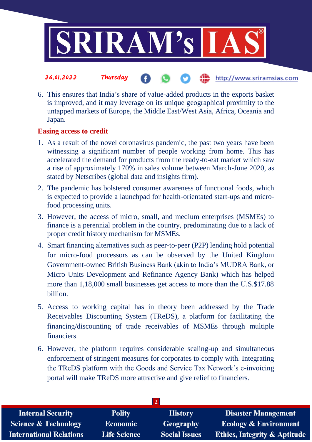

6. This ensures that India's share of value-added products in the exports basket is improved, and it may leverage on its unique geographical proximity to the untapped markets of Europe, the Middle East/West Asia, Africa, Oceania and Japan.

## **Easing access to credit**

- 1. As a result of the novel coronavirus pandemic, the past two years have been witnessing a significant number of people working from home. This has accelerated the demand for products from the ready-to-eat market which saw a rise of approximately 170% in sales volume between March-June 2020, as stated by Netscribes (global data and insights firm).
- 2. The pandemic has bolstered consumer awareness of functional foods, which is expected to provide a launchpad for health-orientated start-ups and microfood processing units.
- 3. However, the access of micro, small, and medium enterprises (MSMEs) to finance is a perennial problem in the country, predominating due to a lack of proper credit history mechanism for MSMEs.
- 4. Smart financing alternatives such as peer-to-peer (P2P) lending hold potential for micro-food processors as can be observed by the United Kingdom Government-owned British Business Bank (akin to India's MUDRA Bank, or Micro Units Development and Refinance Agency Bank) which has helped more than 1,18,000 small businesses get access to more than the U.S.\$17.88 billion.
- 5. Access to working capital has in theory been addressed by the Trade Receivables Discounting System (TReDS), a platform for facilitating the financing/discounting of trade receivables of MSMEs through multiple financiers.
- 6. However, the platform requires considerable scaling-up and simultaneous enforcement of stringent measures for corporates to comply with. Integrating the TReDS platform with the Goods and Service Tax Network's e-invoicing portal will make TReDS more attractive and give relief to financiers.

| <b>Internal Security</b>        | <b>Polity</b>       | <b>History</b>       | <b>Disaster Management</b>              |  |  |
|---------------------------------|---------------------|----------------------|-----------------------------------------|--|--|
| <b>Science &amp; Technology</b> | <b>Economic</b>     | <b>Geography</b>     | <b>Ecology &amp; Environment</b>        |  |  |
| <b>International Relations</b>  | <b>Life Science</b> | <b>Social Issues</b> | <b>Ethics, Integrity &amp; Aptitude</b> |  |  |